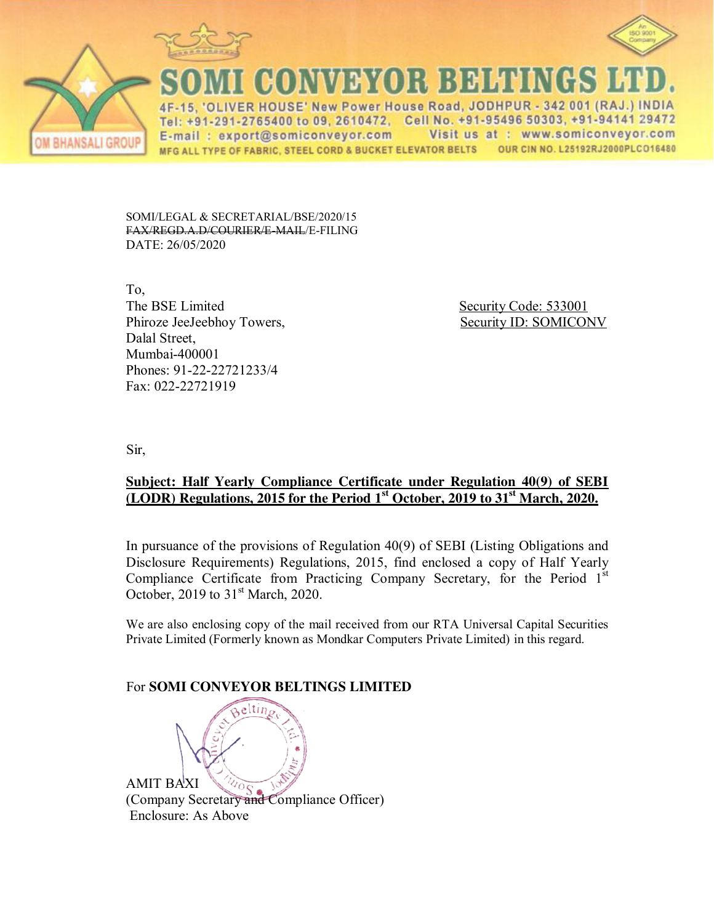





CONVEYOR BELTI

'OLIVER HOUSE' New Power House Road, JODHPUR - 342 001 (RAJ.) INDIA Tel: +91-291-2765400 to 09, 2610472, Cell No. +91-95496 50303, +91-94141 29472 Visit us at : www.somiconveyor.com E-mail: export@somiconveyor.com MFG ALL TYPE OF FABRIC, STEEL CORD & BUCKET ELEVATOR BELTS OUR CIN NO. L25192RJ2000PLCO16480

SOMI/LEGAL & SECRETARIAL/BSE/2020/15 FAX/REGD.A.D/COURIER/E-MAIL/E-FILING DATE: 26/05/2020

To, The BSE Limited Security Code: 533001 Phiroze JeeJeebhoy Towers, Security ID: SOMICONV Dalal Street, Mumbai-400001 Phones: 91-22-22721233/4 Fax: 022-22721919

Sir,

# **Subject: Half Yearly Compliance Certificate under Regulation 40(9) of SEBI (LODR) Regulations, 2015 for the Period 1st October, 2019 to 31st March, 2020.**

In pursuance of the provisions of Regulation 40(9) of SEBI (Listing Obligations and Disclosure Requirements) Regulations, 2015, find enclosed a copy of Half Yearly Compliance Certificate from Practicing Company Secretary, for the Period  $1<sup>st</sup>$ October, 2019 to  $31<sup>st</sup>$  March, 2020.

We are also enclosing copy of the mail received from our RTA Universal Capital Securities Private Limited (Formerly known as Mondkar Computers Private Limited) in this regard.

# For **SOMI CONVEYOR BELTINGS LIMITED**

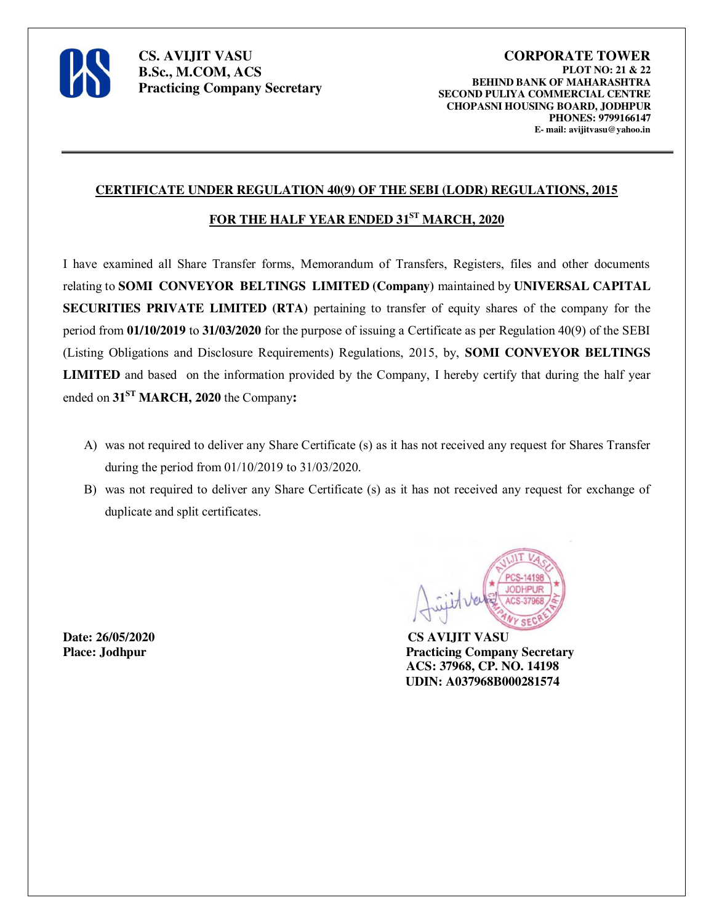

### **CERTIFICATE UNDER REGULATION 40(9) OF THE SEBI (LODR) REGULATIONS, 2015**

# **FOR THE HALF YEAR ENDED 31ST MARCH, 2020**

I have examined all Share Transfer forms, Memorandum of Transfers, Registers, files and other documents relating to **SOMI CONVEYOR BELTINGS LIMITED (Company)** maintained by **UNIVERSAL CAPITAL SECURITIES PRIVATE LIMITED (RTA)** pertaining to transfer of equity shares of the company for the period from **01/10/2019** to **31/03/2020** for the purpose of issuing a Certificate as per Regulation 40(9) of the SEBI (Listing Obligations and Disclosure Requirements) Regulations, 2015, by, **SOMI CONVEYOR BELTINGS LIMITED** and based on the information provided by the Company, I hereby certify that during the half year ended on **31ST MARCH, 2020** the Company**:**

- A) was not required to deliver any Share Certificate (s) as it has not received any request for Shares Transfer during the period from 01/10/2019 to 31/03/2020.
- B) was not required to deliver any Share Certificate (s) as it has not received any request for exchange of duplicate and split certificates.

**Date: 26/05/2020 CS AVIJIT VASU**



**Place: Jodhpur Practicing Company Secretary ACS: 37968, CP. NO. 14198 UDIN: A037968B000281574**